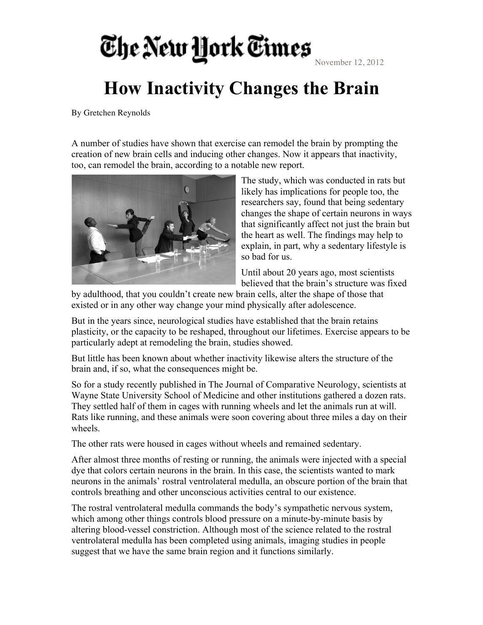## The New Hork Times

## **How Inactivity Changes the Brain**

By Gretchen Reynolds

A number of studies have shown that exercise can remodel the brain by prompting the creation of new brain cells and inducing other changes. Now it appears that inactivity, too, can remodel the brain, according to a notable new report.



The study, which was conducted in rats but likely has implications for people too, the researchers say, found that being sedentary changes the shape of certain neurons in ways that significantly affect not just the brain but the heart as well. The findings may help to explain, in part, why a sedentary lifestyle is so bad for us.

Until about 20 years ago, most scientists believed that the brain's structure was fixed

by adulthood, that you couldn't create new brain cells, alter the shape of those that existed or in any other way change your mind physically after adolescence.

But in the years since, neurological studies have established that the brain retains plasticity, or the capacity to be reshaped, throughout our lifetimes. Exercise appears to be particularly adept at remodeling the brain, studies showed.

But little has been known about whether inactivity likewise alters the structure of the brain and, if so, what the consequences might be.

So for a study recently published in The Journal of Comparative Neurology, scientists at Wayne State University School of Medicine and other institutions gathered a dozen rats. They settled half of them in cages with running wheels and let the animals run at will. Rats like running, and these animals were soon covering about three miles a day on their wheels.

The other rats were housed in cages without wheels and remained sedentary.

After almost three months of resting or running, the animals were injected with a special dye that colors certain neurons in the brain. In this case, the scientists wanted to mark neurons in the animals' rostral ventrolateral medulla, an obscure portion of the brain that controls breathing and other unconscious activities central to our existence.

The rostral ventrolateral medulla commands the body's sympathetic nervous system, which among other things controls blood pressure on a minute-by-minute basis by altering blood-vessel constriction. Although most of the science related to the rostral ventrolateral medulla has been completed using animals, imaging studies in people suggest that we have the same brain region and it functions similarly.